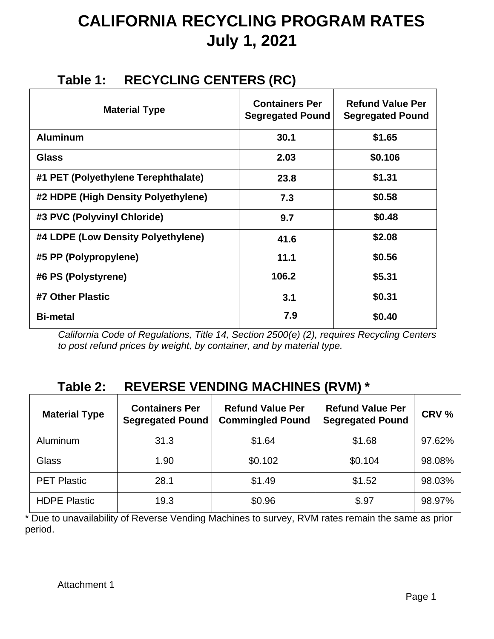# **CALIFORNIA RECYCLING PROGRAM RATES July 1, 2021**

### **Table 1: RECYCLING CENTERS (RC)**

| <b>Material Type</b>                | <b>Containers Per</b><br><b>Segregated Pound</b> | <b>Refund Value Per</b><br><b>Segregated Pound</b> |
|-------------------------------------|--------------------------------------------------|----------------------------------------------------|
| <b>Aluminum</b>                     | 30.1                                             | \$1.65                                             |
| <b>Glass</b>                        | 2.03                                             | \$0.106                                            |
| #1 PET (Polyethylene Terephthalate) | 23.8                                             | \$1.31                                             |
| #2 HDPE (High Density Polyethylene) | 7.3                                              | \$0.58                                             |
| #3 PVC (Polyvinyl Chloride)         | 9.7                                              | \$0.48                                             |
| #4 LDPE (Low Density Polyethylene)  | 41.6                                             | \$2.08                                             |
| #5 PP (Polypropylene)               | 11.1                                             | \$0.56                                             |
| #6 PS (Polystyrene)                 | 106.2                                            | \$5.31                                             |
| #7 Other Plastic                    | 3.1                                              | \$0.31                                             |
| <b>Bi-metal</b>                     | 7.9                                              | \$0.40                                             |

*California Code of Regulations, Title 14, Section 2500(e) (2), requires Recycling Centers to post refund prices by weight, by container, and by material type.* 

### **Table 2: REVERSE VENDING MACHINES (RVM) \***

| <b>Material Type</b> | <b>Containers Per</b><br><b>Segregated Pound</b> | <b>Refund Value Per</b><br><b>Commingled Pound</b> | <b>Refund Value Per</b><br><b>Segregated Pound</b> | CRV %  |
|----------------------|--------------------------------------------------|----------------------------------------------------|----------------------------------------------------|--------|
| Aluminum             | 31.3                                             | \$1.64                                             | \$1.68                                             | 97.62% |
| Glass                | 1.90                                             | \$0.102                                            | \$0.104                                            | 98.08% |
| <b>PET Plastic</b>   | 28.1                                             | \$1.49                                             | \$1.52                                             | 98.03% |
| <b>HDPE Plastic</b>  | 19.3                                             | \$0.96                                             | \$.97                                              | 98.97% |

\* Due to unavailability of Reverse Vending Machines to survey, RVM rates remain the same as prior period.